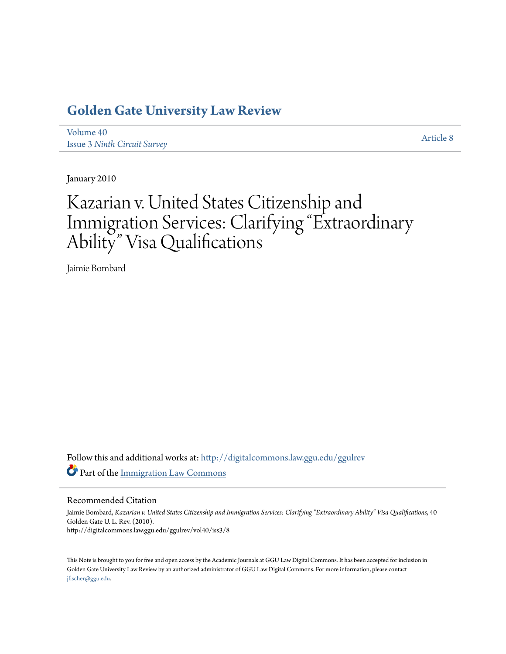### **[Golden Gate University Law Review](http://digitalcommons.law.ggu.edu/ggulrev?utm_source=digitalcommons.law.ggu.edu%2Fggulrev%2Fvol40%2Fiss3%2F8&utm_medium=PDF&utm_campaign=PDFCoverPages)**

[Volume 40](http://digitalcommons.law.ggu.edu/ggulrev/vol40?utm_source=digitalcommons.law.ggu.edu%2Fggulrev%2Fvol40%2Fiss3%2F8&utm_medium=PDF&utm_campaign=PDFCoverPages) Issue 3 *[Ninth Circuit Survey](http://digitalcommons.law.ggu.edu/ggulrev/vol40/iss3?utm_source=digitalcommons.law.ggu.edu%2Fggulrev%2Fvol40%2Fiss3%2F8&utm_medium=PDF&utm_campaign=PDFCoverPages)*

[Article 8](http://digitalcommons.law.ggu.edu/ggulrev/vol40/iss3/8?utm_source=digitalcommons.law.ggu.edu%2Fggulrev%2Fvol40%2Fiss3%2F8&utm_medium=PDF&utm_campaign=PDFCoverPages)

January 2010

# Kazarian v. United States Citizenship and Immigration Services: Clarifying "Extraordinary Ability" Visa Qualifications

Jaimie Bombard

Follow this and additional works at: [http://digitalcommons.law.ggu.edu/ggulrev](http://digitalcommons.law.ggu.edu/ggulrev?utm_source=digitalcommons.law.ggu.edu%2Fggulrev%2Fvol40%2Fiss3%2F8&utm_medium=PDF&utm_campaign=PDFCoverPages) Part of the [Immigration Law Commons](http://network.bepress.com/hgg/discipline/604?utm_source=digitalcommons.law.ggu.edu%2Fggulrev%2Fvol40%2Fiss3%2F8&utm_medium=PDF&utm_campaign=PDFCoverPages)

#### Recommended Citation

Jaimie Bombard, *Kazarian v. United States Citizenship and Immigration Services: Clarifying "Extraordinary Ability" Visa Qualifications*, 40 Golden Gate U. L. Rev. (2010). http://digitalcommons.law.ggu.edu/ggulrev/vol40/iss3/8

This Note is brought to you for free and open access by the Academic Journals at GGU Law Digital Commons. It has been accepted for inclusion in Golden Gate University Law Review by an authorized administrator of GGU Law Digital Commons. For more information, please contact [jfischer@ggu.edu](mailto:jfischer@ggu.edu).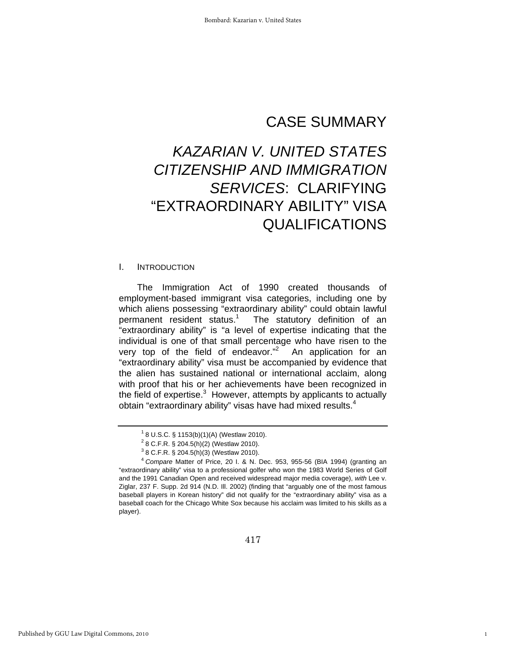## CASE SUMMARY

## *KAZARIAN V. UNITED STATES CITIZENSHIP AND IMMIGRATION SERVICES*: CLARIFYING "EXTRAORDINARY ABILITY" VISA QUALIFICATIONS

#### I. INTRODUCTION

The Immigration Act of 1990 created thousands of employment-based immigrant visa categories, including one by which aliens possessing "extraordinary ability" could obtain lawful permanent resident status.<sup>1</sup> The statutory definition of an "extraordinary ability" is "a level of expertise indicating that the individual is one of that small percentage who have risen to the very top of the field of endeavor."<sup>2</sup> An application for an "extraordinary ability" visa must be accompanied by evidence that the alien has sustained national or international acclaim, along with proof that his or her achievements have been recognized in the field of expertise. $3$  However, attempts by applicants to actually obtain "extraordinary ability" visas have had mixed results.<sup>4</sup>

1

<sup>1</sup> 8 U.S.C. § 1153(b)(1)(A) (Westlaw 2010).

 $2$  8 C.F.R. § 204.5(h)(2) (Westlaw 2010).

 $3$  8 C.F.R. § 204.5(h)(3) (Westlaw 2010).

<sup>4</sup>  *Compare* Matter of Price, 20 I. & N. Dec. 953, 955-56 (BIA 1994) (granting an "extraordinary ability" visa to a professional golfer who won the 1983 World Series of Golf and the 1991 Canadian Open and received widespread major media coverage), *with* Lee v. Ziglar, 237 F. Supp. 2d 914 (N.D. Ill. 2002) (finding that "arguably one of the most famous baseball players in Korean history" did not qualify for the "extraordinary ability" visa as a baseball coach for the Chicago White Sox because his acclaim was limited to his skills as a player).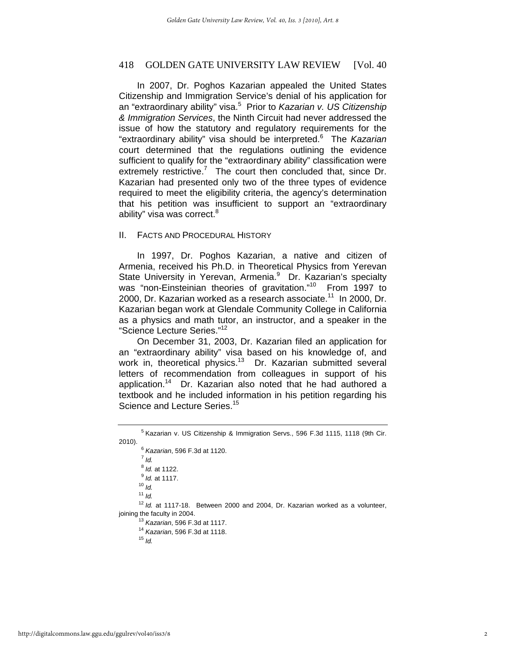#### 418 GOLDEN GATE UNIVERSITY LAW REVIEW [Vol. 40

In 2007, Dr. Poghos Kazarian appealed the United States Citizenship and Immigration Service's denial of his application for an "extraordinary ability" visa.<sup>5</sup> Prior to *Kazarian v. US Citizenship & Immigration Services*, the Ninth Circuit had never addressed the issue of how the statutory and regulatory requirements for the "extraordinary ability" visa should be interpreted.<sup>6</sup> The *Kazarian*  court determined that the regulations outlining the evidence sufficient to qualify for the "extraordinary ability" classification were extremely restrictive.<sup>7</sup> The court then concluded that, since Dr. Kazarian had presented only two of the three types of evidence required to meet the eligibility criteria, the agency's determination that his petition was insufficient to support an "extraordinary ability" visa was correct.<sup>8</sup>

#### II. FACTS AND PROCEDURAL HISTORY

In 1997, Dr. Poghos Kazarian, a native and citizen of Armenia, received his Ph.D. in Theoretical Physics from Yerevan State University in Yerevan, Armenia.<sup>9</sup> Dr. Kazarian's specialty was "non-Einsteinian theories of gravitation."<sup>10</sup> From 1997 to 2000, Dr. Kazarian worked as a research associate.<sup>11</sup> In 2000, Dr. Kazarian began work at Glendale Community College in California as a physics and math tutor, an instructor, and a speaker in the "Science Lecture Series."<sup>12</sup>

On December 31, 2003, Dr. Kazarian filed an application for an "extraordinary ability" visa based on his knowledge of, and work in, theoretical physics.<sup>13</sup> Dr. Kazarian submitted several letters of recommendation from colleagues in support of his application.<sup>14</sup> Dr. Kazarian also noted that he had authored a textbook and he included information in his petition regarding his Science and Lecture Series.<sup>15</sup>

 *Kazarian*, 596 F.3d at 1120. 7

- $<sup>7</sup>$  *Id.*</sup>
- <sup>8</sup> *Id.* at 1122.<br><sup>9</sup> *Id.* et 1117
- *Id.* at 1117. 10 *Id.*
- 
- <sup>11</sup> *Id.*

<sup>12</sup> Id. at 1117-18. Between 2000 and 2004, Dr. Kazarian worked as a volunteer,

joining the faculty in 2004. 13 *Kazarian*, 596 F.3d at 1117. 14 *Kazarian*, 596 F.3d at 1118. 15 *Id.*

<sup>&</sup>lt;sup>5</sup> Kazarian v. US Citizenship & Immigration Servs., 596 F.3d 1115, 1118 (9th Cir.  $2010$ ).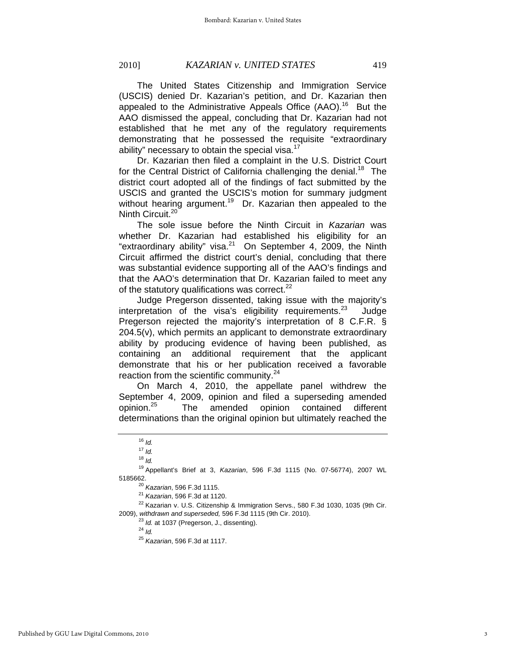The United States Citizenship and Immigration Service (USCIS) denied Dr. Kazarian's petition, and Dr. Kazarian then appealed to the Administrative Appeals Office (AAO).<sup>16</sup> But the AAO dismissed the appeal, concluding that Dr. Kazarian had not established that he met any of the regulatory requirements demonstrating that he possessed the requisite "extraordinary ability" necessary to obtain the special visa. $17$ 

Dr. Kazarian then filed a complaint in the U.S. District Court for the Central District of California challenging the denial.<sup>18</sup> The district court adopted all of the findings of fact submitted by the USCIS and granted the USCIS's motion for summary judgment without hearing argument.<sup>19</sup> Dr. Kazarian then appealed to the Ninth Circuit.<sup>20</sup>

The sole issue before the Ninth Circuit in *Kazarian* was whether Dr. Kazarian had established his eligibility for an "extraordinary ability" visa. $21$  On September 4, 2009, the Ninth Circuit affirmed the district court's denial, concluding that there was substantial evidence supporting all of the AAO's findings and that the AAO's determination that Dr. Kazarian failed to meet any of the statutory qualifications was correct. $^{22}$ 

Judge Pregerson dissented, taking issue with the majority's interpretation of the visa's eligibility requirements.<sup>23</sup> Judge Pregerson rejected the majority's interpretation of 8 C.F.R. § 204.5(v), which permits an applicant to demonstrate extraordinary ability by producing evidence of having been published, as containing an additional requirement that the applicant demonstrate that his or her publication received a favorable reaction from the scientific community.<sup>24</sup>

On March 4, 2010, the appellate panel withdrew the September 4, 2009, opinion and filed a superseding amended opinion.<sup>25</sup> The amended opinion contained different determinations than the original opinion but ultimately reached the

 $16$  *Id.* 

 $17$  *Id.* 

<sup>18</sup> *Id.*

<sup>19</sup> Appellant's Brief at 3, *Kazarian*, 596 F.3d 1115 (No. 07-56774), 2007 WL

<sup>&</sup>lt;sup>20</sup> *Kazarian*, 596 F.3d 1115.<br><sup>21</sup> *Kazarian*, 596 F.3d at 1120.<br><sup>22</sup> Kazarian v. U.S. Citizenship & Immigration Servs., 580 F.3d 1030, 1035 (9th Cir. 2009), *withdrawn and superseded,* 596 F.3d 1115 (9th Cir. 2010). 23 *Id.* at 1037 (Pregerson, J., dissenting). 24 *Id.*

<sup>25</sup> *Kazarian*, 596 F.3d at 1117.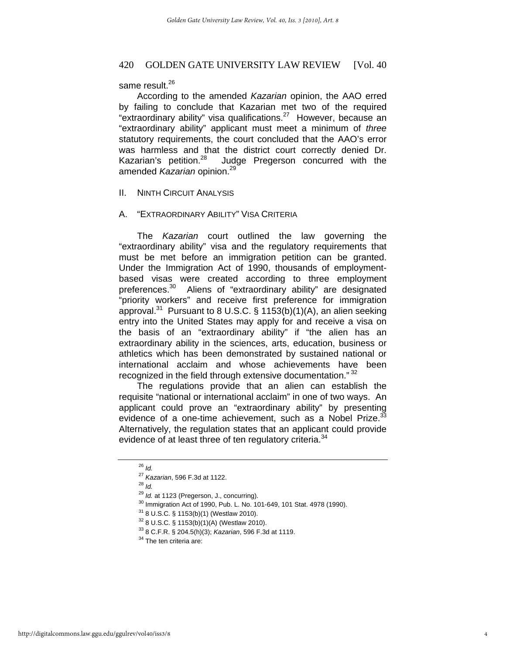#### 420 GOLDEN GATE UNIVERSITY LAW REVIEW [Vol. 40]

#### same result.<sup>26</sup>

According to the amended *Kazarian* opinion, the AAO erred by failing to conclude that Kazarian met two of the required "extraordinary ability" visa qualifications.<sup>27</sup> However, because an "extraordinary ability" applicant must meet a minimum of *three* statutory requirements, the court concluded that the AAO's error was harmless and that the district court correctly denied Dr. Kazarian's petition.<sup>28</sup> Judge Pregerson concurred with the amended *Kazarian* opinion.<sup>29</sup>

#### II. NINTH CIRCUIT ANALYSIS

#### A. "EXTRAORDINARY ABILITY" VISA CRITERIA

The *Kazarian* court outlined the law governing the "extraordinary ability" visa and the regulatory requirements that must be met before an immigration petition can be granted. Under the Immigration Act of 1990, thousands of employmentbased visas were created according to three employment preferences.<sup>30</sup> Aliens of "extraordinary ability" are designated "priority workers" and receive first preference for immigration approval.<sup>31</sup> Pursuant to 8 U.S.C. § 1153(b)(1)(A), an alien seeking entry into the United States may apply for and receive a visa on the basis of an "extraordinary ability" if "the alien has an extraordinary ability in the sciences, arts, education, business or athletics which has been demonstrated by sustained national or international acclaim and whose achievements have been recognized in the field through extensive documentation."<sup>32</sup>

The regulations provide that an alien can establish the requisite "national or international acclaim" in one of two ways. An applicant could prove an "extraordinary ability" by presenting evidence of a one-time achievement, such as a Nobel Prize. $33$ Alternatively, the regulation states that an applicant could provide evidence of at least three of ten regulatory criteria.<sup>34</sup>

<sup>26</sup> *Id.*

<sup>27</sup> *Kazarian*, 596 F.3d at 1122. 28 *Id.*

<sup>&</sup>lt;sup>29</sup> *Id.* at 1123 (Pregerson, J., concurring).<br><sup>30</sup> Immigration Act of 1990, Pub. L. No. 101-649, 101 Stat. 4978 (1990).

<sup>31 8</sup> U.S.C. § 1153(b)(1) (Westlaw 2010).

<sup>32 8</sup> U.S.C. § 1153(b)(1)(A) (Westlaw 2010).

<sup>33 8</sup> C.F.R. § 204.5(h)(3); *Kazarian*, 596 F.3d at 1119. 34 The ten criteria are: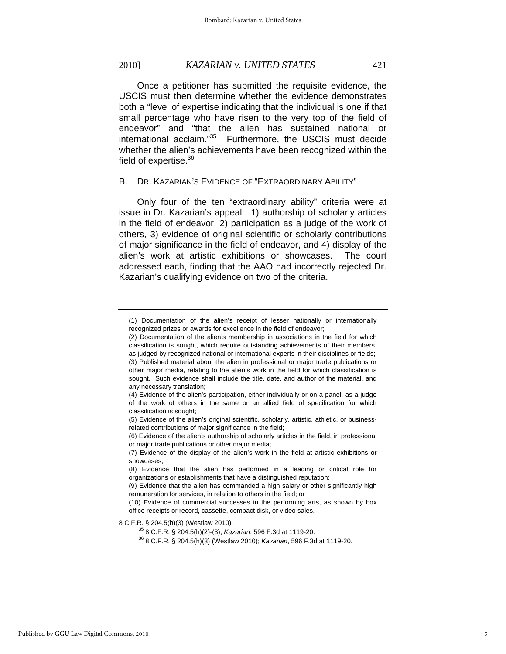#### 2010] *KAZARIAN v. UNITED STATES* 421

Once a petitioner has submitted the requisite evidence, the USCIS must then determine whether the evidence demonstrates both a "level of expertise indicating that the individual is one if that small percentage who have risen to the very top of the field of endeavor" and "that the alien has sustained national or international acclaim."35 Furthermore, the USCIS must decide whether the alien's achievements have been recognized within the field of expertise.<sup>36</sup>

#### B. DR. KAZARIAN'S EVIDENCE OF "EXTRAORDINARY ABILITY"

Only four of the ten "extraordinary ability" criteria were at issue in Dr. Kazarian's appeal: 1) authorship of scholarly articles in the field of endeavor, 2) participation as a judge of the work of others, 3) evidence of original scientific or scholarly contributions of major significance in the field of endeavor, and 4) display of the alien's work at artistic exhibitions or showcases. The court addressed each, finding that the AAO had incorrectly rejected Dr. Kazarian's qualifying evidence on two of the criteria.

<sup>(1)</sup> Documentation of the alien's receipt of lesser nationally or internationally recognized prizes or awards for excellence in the field of endeavor;

<sup>(2)</sup> Documentation of the alien's membership in associations in the field for which classification is sought, which require outstanding achievements of their members, as judged by recognized national or international experts in their disciplines or fields; (3) Published material about the alien in professional or major trade publications or other major media, relating to the alien's work in the field for which classification is sought. Such evidence shall include the title, date, and author of the material, and any necessary translation;

<sup>(4)</sup> Evidence of the alien's participation, either individually or on a panel, as a judge of the work of others in the same or an allied field of specification for which classification is sought;

<sup>(5)</sup> Evidence of the alien's original scientific, scholarly, artistic, athletic, or businessrelated contributions of major significance in the field;

<sup>(6)</sup> Evidence of the alien's authorship of scholarly articles in the field, in professional or major trade publications or other major media;

<sup>(7)</sup> Evidence of the display of the alien's work in the field at artistic exhibitions or showcases;

<sup>(8)</sup> Evidence that the alien has performed in a leading or critical role for organizations or establishments that have a distinguished reputation;

<sup>(9)</sup> Evidence that the alien has commanded a high salary or other significantly high remuneration for services, in relation to others in the field; or

<sup>(10)</sup> Evidence of commercial successes in the performing arts, as shown by box office receipts or record, cassette, compact disk, or video sales.

<sup>8</sup> C.F.R. § 204.5(h)(3) (Westlaw 2010). 35 8 C.F.R. § 204.5(h)(2)-(3); *Kazarian*, 596 F.3d at 1119-20. 36 8 C.F.R. § 204.5(h)(3) (Westlaw 2010); *Kazarian*, 596 F.3d at 1119-20.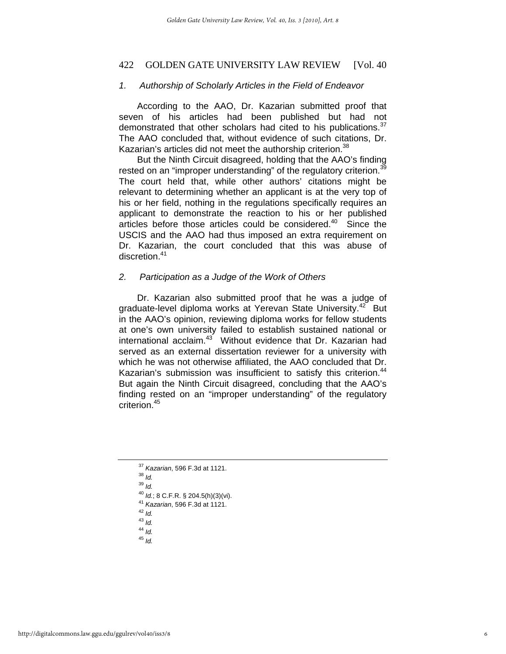#### 422 GOLDEN GATE UNIVERSITY LAW REVIEW [Vol. 40]

#### *1. Authorship of Scholarly Articles in the Field of Endeavor*

According to the AAO, Dr. Kazarian submitted proof that seven of his articles had been published but had not demonstrated that other scholars had cited to his publications.<sup>37</sup> The AAO concluded that, without evidence of such citations, Dr. Kazarian's articles did not meet the authorship criterion.<sup>38</sup>

But the Ninth Circuit disagreed, holding that the AAO's finding rested on an "improper understanding" of the regulatory criterion.<sup>39</sup> The court held that, while other authors' citations might be relevant to determining whether an applicant is at the very top of his or her field, nothing in the regulations specifically requires an applicant to demonstrate the reaction to his or her published articles before those articles could be considered.40 Since the USCIS and the AAO had thus imposed an extra requirement on Dr. Kazarian, the court concluded that this was abuse of discretion.<sup>41</sup>

#### *2. Participation as a Judge of the Work of Others*

Dr. Kazarian also submitted proof that he was a judge of graduate-level diploma works at Yerevan State University.<sup>42</sup> But in the AAO's opinion, reviewing diploma works for fellow students at one's own university failed to establish sustained national or international acclaim.<sup>43</sup> Without evidence that Dr. Kazarian had served as an external dissertation reviewer for a university with which he was not otherwise affiliated, the AAO concluded that Dr. Kazarian's submission was insufficient to satisfy this criterion.<sup>44</sup> But again the Ninth Circuit disagreed, concluding that the AAO's finding rested on an "improper understanding" of the regulatory criterion.45

- <sup>40</sup> *Id.*; 8 C.F.R. § 204.5(h)(3)(vi). 41 *Kazarian*, 596 F.3d at 1121. 42 *Id.*
- 
- <sup>43</sup> *Id.*
- <sup>44</sup> *Id.*
- <sup>45</sup> *Id.*

<sup>37</sup> *Kazarian*, 596 F.3d at 1121. 38 *Id.*

 $^{39}$  *Id.*<br><sup>40</sup> *Id.*; 8 C.F.R. § 204.5(h)(3)(vi).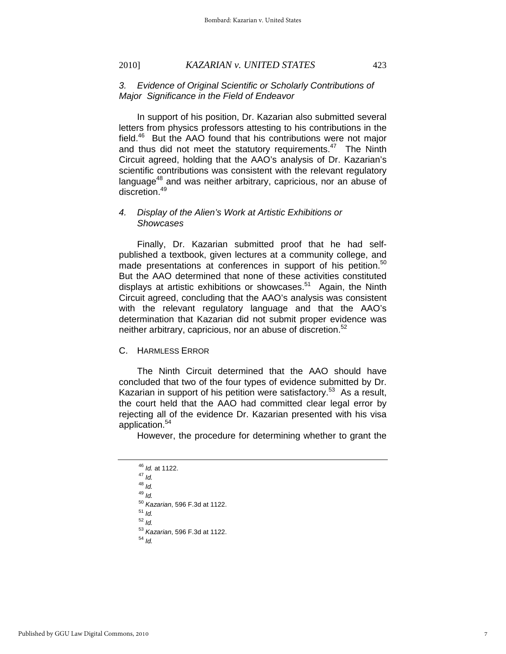#### 2010] *KAZARIAN v. UNITED STATES* 423

#### *3. Evidence of Original Scientific or Scholarly Contributions of Major Significance in the Field of Endeavor*

In support of his position, Dr. Kazarian also submitted several letters from physics professors attesting to his contributions in the field.46 But the AAO found that his contributions were not major and thus did not meet the statutory requirements. $47$  The Ninth Circuit agreed, holding that the AAO's analysis of Dr. Kazarian's scientific contributions was consistent with the relevant regulatory language<sup>48</sup> and was neither arbitrary, capricious, nor an abuse of discretion.<sup>49</sup>

#### *4. Display of the Alien's Work at Artistic Exhibitions or Showcases*

Finally, Dr. Kazarian submitted proof that he had selfpublished a textbook, given lectures at a community college, and made presentations at conferences in support of his petition.<sup>50</sup> But the AAO determined that none of these activities constituted displays at artistic exhibitions or showcases.<sup>51</sup> Again, the Ninth Circuit agreed, concluding that the AAO's analysis was consistent with the relevant regulatory language and that the AAO's determination that Kazarian did not submit proper evidence was neither arbitrary, capricious, nor an abuse of discretion. $52$ 

C. HARMLESS ERROR

The Ninth Circuit determined that the AAO should have concluded that two of the four types of evidence submitted by Dr. Kazarian in support of his petition were satisfactory.<sup>53</sup> As a result, the court held that the AAO had committed clear legal error by rejecting all of the evidence Dr. Kazarian presented with his visa application.54

However, the procedure for determining whether to grant the

<sup>46</sup> *Id.* at 1122. 47 *Id.* <sup>48</sup> *Id.* <sup>49</sup> *Id.* <sup>50</sup> *Kazarian*, 596 F.3d at 1122. 51 *Id.* <sup>52</sup> *Id.* <sup>53</sup> *Kazarian*, 596 F.3d at 1122. 54 *Id.*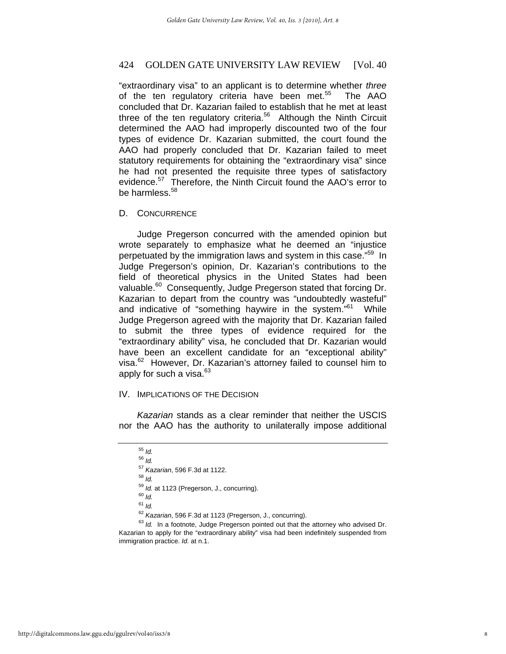#### 424 GOLDEN GATE UNIVERSITY LAW REVIEW [Vol. 40]

"extraordinary visa" to an applicant is to determine whether *three* of the ten regulatory criteria have been met.<sup>55</sup> The AAO concluded that Dr. Kazarian failed to establish that he met at least three of the ten regulatory criteria.<sup>56</sup> Although the Ninth Circuit determined the AAO had improperly discounted two of the four types of evidence Dr. Kazarian submitted, the court found the AAO had properly concluded that Dr. Kazarian failed to meet statutory requirements for obtaining the "extraordinary visa" since he had not presented the requisite three types of satisfactory evidence.<sup>57</sup> Therefore, the Ninth Circuit found the AAO's error to be harmless  $58$ 

#### D. CONCURRENCE

Judge Pregerson concurred with the amended opinion but wrote separately to emphasize what he deemed an "injustice perpetuated by the immigration laws and system in this case."59 In Judge Pregerson's opinion, Dr. Kazarian's contributions to the field of theoretical physics in the United States had been valuable.<sup>60</sup> Consequently, Judge Pregerson stated that forcing Dr. Kazarian to depart from the country was "undoubtedly wasteful" and indicative of "something haywire in the system."<sup>61</sup> While Judge Pregerson agreed with the majority that Dr. Kazarian failed to submit the three types of evidence required for the "extraordinary ability" visa, he concluded that Dr. Kazarian would have been an excellent candidate for an "exceptional ability" visa.<sup>62</sup> However, Dr. Kazarian's attorney failed to counsel him to apply for such a visa. $63$ 

#### IV. IMPLICATIONS OF THE DECISION

*Kazarian* stands as a clear reminder that neither the USCIS nor the AAO has the authority to unilaterally impose additional

- <sup>59</sup> *Id.* at 1123 (Pregerson, J., concurring). 60 *Id.*
- 
- <sup>61</sup> *Id.*
- 

<sup>62</sup> Kazarian, 596 F.3d at 1123 (Pregerson, J., concurring).<br><sup>63</sup> Id. In a footnote, Judge Pregerson pointed out that the attorney who advised Dr. Kazarian to apply for the "extraordinary ability" visa had been indefinitely suspended from immigration practice. *Id.* at n.1.

<sup>55</sup> *Id.*

<sup>56</sup> *Id.*

<sup>57</sup> *Kazarian*, 596 F.3d at 1122. 58 *Id.*